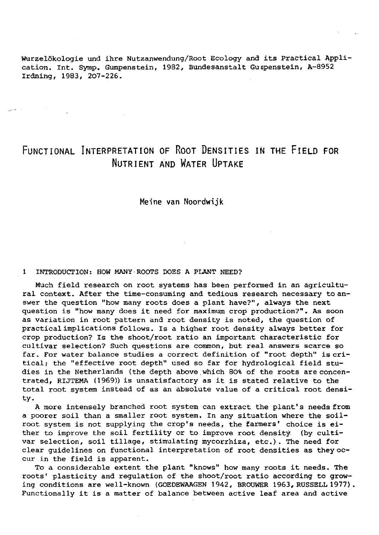Wurzelökologie und ihre Nutzanwendung/Root Ecology and its Practical Application. Int. Symp. Gumpenstein, 1982, Bundesanstalt Gunpenstein, A-8952 Irdning, 1983, 207-226.

# FUNCTIONAL INTERPRETATION OF ROOT DENSITIES IN THE FIELD FOR NUTRIENT AND WATER UPTAKE

Meine van Noordwijk

#### 1 INTRODUCTION: HOW MANY ROOTS DOES A PLANT NEED?

Much field research on root systems has been performed in an agricultural context. After the time-consuming and tedious research necessary to answer the question "how many roots does a plant have?", always the next question is "how many does it need for maximum crop production?". As soon as variation in root pattern and root density is noted, the question of practical implications follows. Is a higher root density always better for crop production? Is the shoot/root ratio an important characteristic for cultivar selection? Such questions are common, but real answers scarce so far. For water balance studies a correct definition of "root depth" is critical; the "effective root depth" used so far for hydrological field studies in the Netherlands (the depth above which 80% of the roots are concentrated, RIJTEMA (1969)) is unsatisfactory as it is stated relative to the total root system instead of as an absolute value of a critical root density.

A more intensely branched root system can extract the plant's needs from a poorer soil than a smaller root system. In any situation where the soilroot system is not supplying the crop's needs, the farmers' choice is either to improve the soil fertility or to improve root density (by cultivar selection, soil tillage, stimulating mycorrhiza, etc.). The need for clear guidelines on functional interpretation of root densities as they occur in the field is apparent.

To a considerable extent the plant "knows" how many roots it needs. The roots' plasticity and regulation of the shoot/root ratio according to growing conditions are well-known (GOEDEWAAGEN 1942, BROUWER 1963, RUSSELL 1977). Functionally it is a matter of balance between active leaf area and active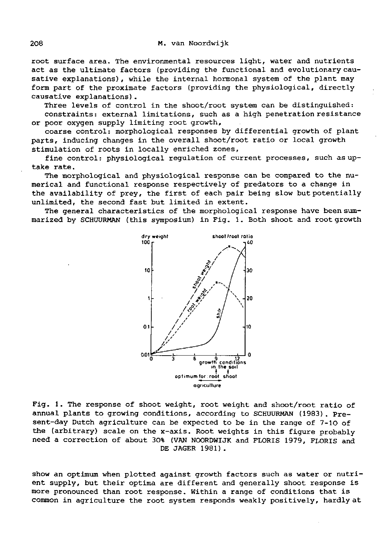root surface area. The environmental resources light, water and nutrients act as the ultimate factors (providing the functional and evolutionary causative explanations), while the internal hormonal system of the plant may form part of the proximate factors (providing the physiological, directly causative explanations).

Three levels of control in the shoot/root system can be distinguished: constraints: external limitations, such as a high penetration resistance or poor oxygen supply limiting root growth,

coarse control: morphological responses by differential growth of plant parts, inducing changes in the overall shoot/root ratio or local growth stimulation of roots in locally enriched zones,

fine control: physiological regulation of current processes, such as uptake rate.

The morphological and physiological response can be compared to the numerical and functional response respectively of predators to a change in the availability of prey, the first of each pair being slow but potentially unlimited, the second fast but limited in extent.

The general characteristics of the morphological response have been summarized by SCHUURMAN (this symposium) in Fig. 1. Both shoot and root growth



Fig. 1. The response of shoot weight, root weight and shoot/root ratio of annual plants to growing conditions, according to SCHUURMAN (1983). Present-day Dutch agriculture can be expected to be in the range of 7-lO of the (arbitrary) scale on the x-axis. Root weights in this figure probably need a correction of about 30% (VAN NOORDWIJK and FLORIS 1979, FLORIS and DE JAGER 1981).

show an optimum when plotted against growth factors such as water or nutrient supply, but their optima are different and generally shoot response is more pronounced than root response. Within a range of conditions that is common in agriculture the root system responds weakly positively, hardly at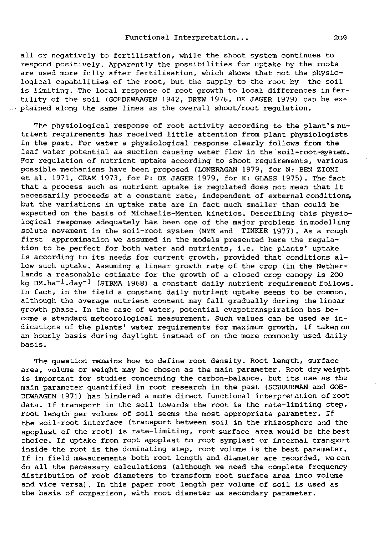all or negatively to fertilisation, while the shoot system continues to respond positively. Apparently the possibilities for uptake by the roots are used more fully after fertilisation, which shows that not the physiological capabilities of the root, but the supply to the root by the soil is limiting. The local response of root growth to local differences in fertility of the soil (GOEDEWAAGEN 1942, DREW 1976, DE JAGER 1979) can be explained along the same lines as the overall shoot/root regulation.

The physiological response of root activity according to the plant's nutrient requirements has received little attention from plant physiologists in the past. For water a physiological response clearly follows from the leaf water potential as suction causing water flow in the soil-root-system. For regulation of nutrient uptake according to shoot requirements, various possible mechanisms have been proposed (LONERAGAN 1979, for N: BEN ZIONI et al. 1971, CRAM 1973, for P: DE JAGER 1979, for K: GLASS 1975). The fact that a process such as nutrient uptake is regulated does not mean that it necessarily proceeds at a constant rate, independent of external conditions, but the variations in uptake rate are in fact much smaller than could be expected on the basis of Michaelis-Menten kinetics. Describing this physiological response adequately has been one of the major problems in modelling solute movement in the soil-root system (NYE and TINKER 1977) . As a rough first approximation we assumed in the models presented here the regulation to be perfect for both water and nutrients, i.e. the plants' uptake is according to its needs for current growth, provided that conditions allow such uptake. Assuming a linear growth rate of the crop (in the Netherlands a reasonable estimate for the growth of a closed crop canopy is 2GO kg DM.ha<sup>-1</sup>.day<sup>-1</sup> (SIBMA 1968) a constant daily nutrient requirement follows. In fact, in the field a constant daily nutrient uptake seems to be common, although the average nutrient content may fall gradually during the linear growth phase. In the case of water, potential evapotranspiration has become a standard meteorological measurement. Such values can be used as indications of the plants' water requirements for maximum growth, if taken on an hourly basis during daylight instead of on the more commonly used daily basis.

The question remains how to define root density. Root length, surface area, volume or weight may be chosen as the main parameter. Root dry weight is important for studies concerning the carbon-balance, but its use as the main parameter quantified in root research in the past (SCHUURMAN and GOE-DEWAAGEN 1971) has hindered a more direct functional interpretation of root data. If transport in the soil towards the root is the rate-limiting step, root length per volume of soil seems the most appropriate parameter. If the soil-root interface (transport between soil in the rhizosphere and the apoplast of the root) is rate-limiting, root surface area would be the best choice. If uptake from root apoplast to root symplast or internal transport inside the root is the dominating step, root volume is the best parameter. If in field measurements both root length and diameter are recorded, we can do all the necessary calculations (although we need the complete frequency distribution of root diameters to transform root surface area into volume and vice versa). In this paper root length per volume of soil is used as the basis of comparison, with root diameter as secondary parameter.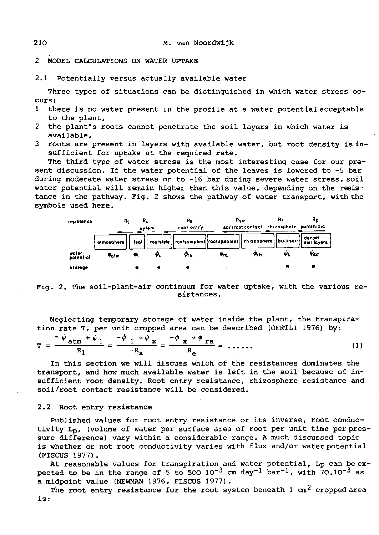2 MODEL CALCULATIONS ON WATER UPTAKE

2.1 Potentially versus actually available water

Three types of situations can be distinguished in which water stress occurs:

- 1 there is no water present in the profile at a water potential acceptable to the plant,
- 2 the plant's roots cannot penetrate the soil layers in which water is available,
- 3 roots are present in layers with available water, but root density is insufficient for uptake at the required rate.

The third type of water stress is the most interesting case for our present discussion. If the water potential of the leaves is lowered to -5 bar during moderate water stress or to -16 bar during severe water stress, soil water potential will remain higher than this value, depending on the resistance in the pathway. Fig. 2 shows the pathway of water transport, with the symbols used here.



Fig. 2. The soil-plant-air continuum for water uptake, with the various resistances .

Neglecting temporary storage of water inside the plant, the transpiration rate T, per unit cropped area can be described (OERTLI 1976) by:

$$
T = \frac{-\psi_{atm} + \psi_1}{R_1} = \frac{-\psi_{1} + \psi_{x}}{R_x} = \frac{-\psi_{x} + \psi_{ra}}{R_e} = \dots \tag{1}
$$

In this section we will discuss which of the resistances dominates the transport, and how much available water is left in the soil because of insufficient root density. Root entry resistance, rhizosphere resistance and soil/root contact resistance will be considered.

### 2.2 Root entry resistance

Published values for root entry resistance or its inverse, root conductivity Lp, (volume of water per surface area of root per unit time per pressure difference) vary within a considerable range. A much discussed topic is whether or not root conductivity varies with flux and/or water potential (FISCUS 1977).

At reasonable values for transpiration and water potential, Lp can be expected to be in the range of 5 to 500  $10^{-3}$  cm day<sup>-1</sup> bar<sup>-1</sup> a midpoint value (NEWMAN 1976, FISCUS 1977).

The root entry resistance for the root system beneath 1  $\text{cm}^2$  cropped area is: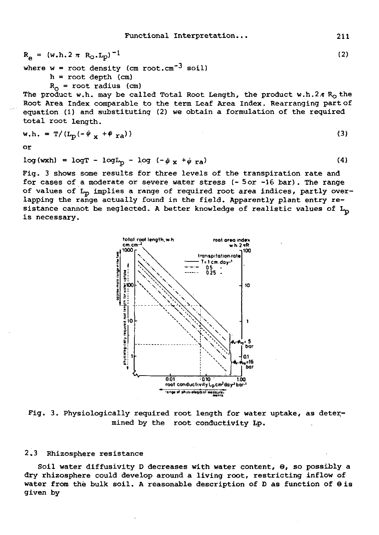$$
R_{e} = (w.h.2 \pi R_{O}.L_{p})^{-1}
$$
  
where  $w =$  root density (cm root.cm<sup>-3</sup> soil) (2)

 $h = root depth (cm)$ 

 $R_0$  = root radius (cm)

The product w.h. may be called Total Root Length, the product w.h.2 $\pi$  R<sub>O</sub> the Root Area Index comparable to the term Leaf Area Index. Rearranging part of equation (1) and substituting (2) we obtain a formulation of the required total root length.

$$
w.h. = T/(L_p(-\phi_X + \phi_{ra}))
$$
 (3)

or

$$
log(wxh) = logT - logLp - log(-\psix + \psira)
$$
 (4)

Fig. 3 shows some results for three levels of the transpiration rate and for cases of a moderate or severe water stress (- 5 or -16 bar). The range of values of L<sub>p</sub> implies a range of required root area indices, partly overlapping the range actually found in the field. Apparently plant entry resistance cannot be neglected. A better knowledge of realistic values of  $L_p$ is necessary.



Fig. 3. Physiologically required root length for water uptake, as determined by the root conductivity Lp.

## 2.3 Rhizosphere resistance

Soil water diffusivity D decreases with water content, 9, so possibly a dry rhizosphere could develop around a living root, restricting inflow of water from the bulk soil. A reasonable description of  $D$  as function of  $\Theta$  is given by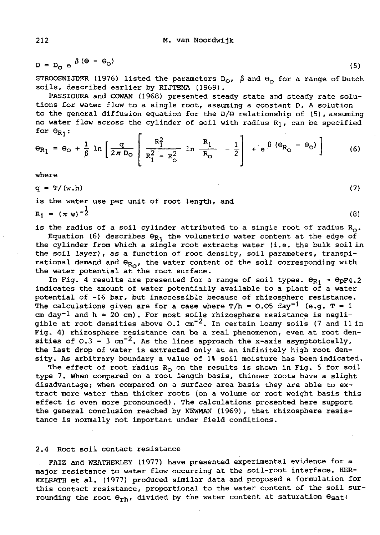$D = D_Q e^{\beta (\Theta - \Theta_Q)}$  (5)

STROOSNIJDER (1976) listed the parameters  $D_{\mathcal{O}}$ ,  $\beta$  and  $\Theta_{\mathcal{O}}$  for a range of Dutch soils, described earlier by RIJTEMA (1969) .

PASSIOURA and COWAN (1968) presented steady state and steady rate solutions for water flow to a single root, assuming a constant D. A solution to the general diffusion equation for the D/0 relationship of (5), assuming no water flow across the cylinder of soil with radius  $R_1$ , can be specified for  $\Theta_{R_1}$ :

$$
\Theta_{R_1} = \Theta_O + \frac{1}{\beta} \ln \left[ \frac{q}{2\pi D_O} \right] \frac{R_1^2}{R_1^2 - R_O^2} \ln \frac{R_1}{R_O} - \frac{1}{2} + e^{\beta (\Theta_{R_O} - \Theta_O)} \right]
$$
(6)

where

 $q = T/(w.h)$ 

is the water use per unit of root length, and  $R_1 = (\pi w)^{-2}$ 

is the radius of a soil cylinder attributed to a single root of radius  $R_0$ .

Equation (6) describes  $\Theta_{R_1}$  the volumetric water content at the edge of the cylinder from which a single root extracts water (i.e. the bulk soil in the soil layer), as a function of root density, soil parameters, transpirational demand and  $\Theta_{R_O}$ , the water content of the soil corresponding with the water potential at the root surface.

In Fig. 4 results are presented for a range of soil types.  $\Theta_{R1}$  -  $\Theta_{\text{DF}}4.2$ indicates the amount of water potentially available to a plant of a water potential of -16 bar, but inaccessible because of rhizosphere resistance. The calculations given are for a case where  $T/h = 0.05$  day<sup>-1</sup> (e.g. T = 1) cm day<sup>-1</sup> and  $h = 20$  cm). For most soils rhizosphere resistance is negligible at root densities above 0.1  $cm^{-2}$ . In certain loamy soils (7 and 11 in Fig. 4) rhizosphere resistance can be a real phenomenon, even at root densities of 0.3 - 3 cm<sup>-2</sup>. As the lines approach the x-axis asymptotically, the last drop of water is extracted only at an infinitely high root density. As arbitrary boundary a value of 1% soil moisture has been indicated.

The effect of root radius  $R_0$  on the results is shown in Fig. 5 for soil type 7. When compared on a root length basis, thinner roots have a slight disadvantage; when compared on a surface area basis they are able to extract more water than thicker roots (on a volume or root weight basis this effect is even more pronounced). The calculations presented here support the general conclusion reached by NEWMAN (1969), that rhizosphere resistance is normally not important under field conditions.

#### 2.4 Root soil contact resistance

FAIZ and WEATHERLEY (1977) have presented experimental evidence for a major resistance to water flow occurring at the soil-root interface. HER-KELRATH et al. (1977) produced similar data and proposed a formulation for this contact resistance, proportional to the water content of the soil surrounding the root  $\Theta_{rh}$ , divided by the water content at saturation  $\Theta_{sat}$ :

(7)

(8)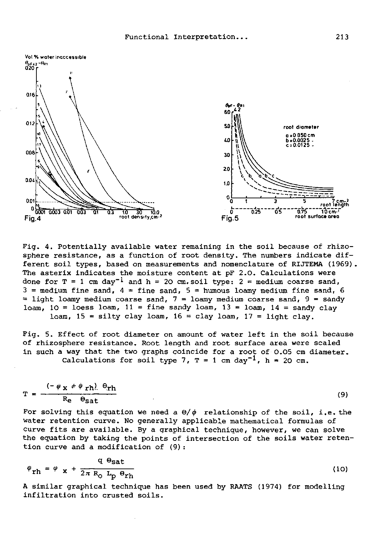

Pig. 4. Potentially available water remaining in the soil because of rhizosphere resistance, as a function of root density. The numbers indicate different soil types, based on measurements and nomenclature of RIJTEMA (1969). The asterix indicates the moisture content at pF 2.0. Calculations were done for  $T = 1$  cm day<sup>-1</sup> and h = 20 cm.soil type:  $2 =$  medium coarse sand,  $3$  = medium fine sand,  $4$  = fine sand,  $5$  = humous loamy medium fine sand, 6  $=$  light loamy medium coarse sand,  $7 =$  loamy medium coarse sand,  $9 =$  sandy loam, 10 = loess loam, 11 = fine sandy loam, 13 = loam, 14 = sandy clay loam,  $15 =$  silty clay loam,  $16 =$  clay loam,  $17 =$  light clay.

Fig. 5. Effect of root diameter on amount of water left in the soil because of rhizosphere resistance. Root length and root surface area were scaled in such a way that the two graphs coincide for a root of 0.05 cm diameter. Calculations for soil type 7,  $T = 1$  cm day<sup>-1</sup>,  $h = 20$  cm.

$$
T = \frac{(-\psi_X + \psi_{rh}) \Theta_{rh}}{R_e \Theta_{sat}}
$$
 (9)

For solving this equation we need a  $\theta/\psi$  relationship of the soil, i.e. the water retention curve. No generally applicable mathematical formulas of curve fits are available. By a graphical technique, however, we can solve the equation by taking the points of intersection of the soils water retention curve and a modification of (9):

$$
\varphi_{\rm rh} = \varphi_{\rm x} + \frac{q}{2\pi R_{\rm O}} \frac{\Theta_{\rm sat}}{L_{\rm p} \Theta_{\rm rh}}
$$
 (10)

A similar graphical technique has been used by RAATS (1974) for modelling infiltration into crusted soils.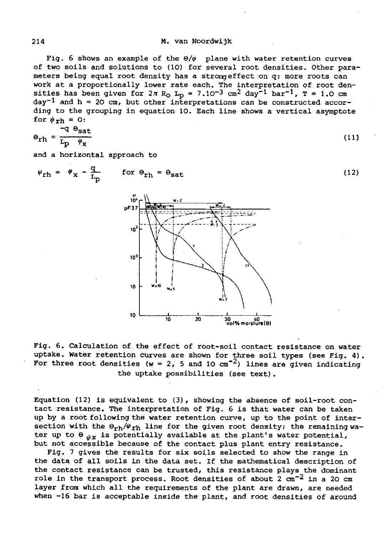#### 214 M. van Noordwijk

Fig. 6 shows an example of the  $\Theta/\psi$  plane with water retention curves of two soils and solutions to (10) for several root densities. Other parameters being equal root density has a strong effect on q: more roots can work at a proportionally lower rate each. The interpretation of root densities has been given for  $2\pi$  R<sub>O</sub> L<sub>p</sub> =  $7.10^{-3}$  cm<sup>2</sup> day<sup>-1</sup> l day<sup>-1</sup> and h = 20 cm, but other interpretations can be constructed according to the grouping in equation 10. Each line shows a vertical asymptote for  $\psi_{\rm rh} = 0$ :

$$
\Theta_{\rm rh} = \frac{-q}{L_p} \frac{\Theta_{\rm sat}}{\varphi_{\rm x}}
$$
 (11)

and a horizontal approach to

$$
\psi_{\rm rh} = \psi_{\rm x} - \frac{q}{L_{\rm p}} \qquad \text{for } \Theta_{\rm rh} = \Theta_{\rm sat} \tag{12}
$$



Fig. 6. Calculation of the effect of root-soil contact resistance on water uptake. Water retention curves are shown for three soil types (see Fig. 4). For three root densities (w = 2, 5 and 10  $\text{cm}^{-2}$ ) lines are given indicating the uptake possibilities (see text).

Equation (12) is equivalent to (3), showing the absence of soil-root contact resistance. The interpretation of Fig. 6 is that water can be taken up by a root following the water retention curve, up to the point of intersection with the  $\Theta_{rh}/\psi_{rh}$  line for the given root density; the remaining water up to  $\Theta_{ijk}$  is potentially available at the plant's water potential, but not accessible because of the contact plus plant entry resistance.

Fig. 7 gives the results for six soils selected to show the range in the data of all soils in the data set. If the mathematical description of the contact resistance can be trusted, this resistance plays the dominant role in the transport process. Root densities of about 2 layer from which all the requirements of the plant are drawn, are needed when -16 bar is acceptable inside the plant, and root densities of around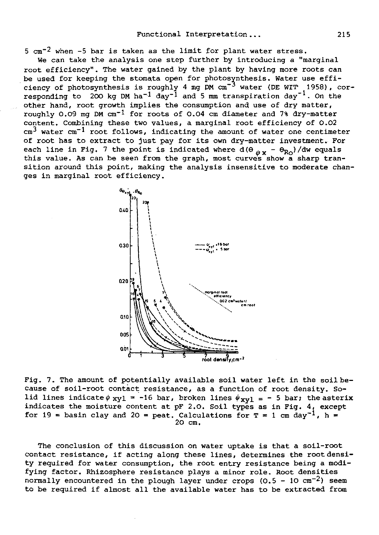$5 \text{ cm}^{-2}$  when -5 bar is taken as the limit for plant water stress.

We can take the analysis one step further by introducing a "marginal root efficiency". The water gained by the plant by haying more roots can be used for keeping the stomata open for photosynthesis. Water use efficiency of photosynthesis is roughly 4 mg  $PM$  cm<sup>-3</sup> water (DE WIT 1958), corresponding to 200 kg DM ha<sup>-1</sup> day<sup>-1</sup> and 5 mm transpiration other hand, root growth implies the consumption and use of dry matter, roughly 0.09 mg DM  $cm^{-1}$  for roots of 0.04 cm diameter and 7% dry-matter content. Combining these two values, a marginal root efficiency of 0.02  $cm<sup>3</sup>$  water  $cm<sup>-1</sup>$  root follows, indicating the amount of water one centimeter of root has to extract to just pay for its own dry-matter investment. For each line in Fig. 7 the point is indicated where  $d(\theta \frac{\partial}{\partial x} - \theta_{R_O}) / dw$  equals this value. As can be seen from the graph, most curves show a sharp transition around this point, making the analysis insensitive to moderate changes in marginal root efficiency.



Fig. 7. The amount of potentially available soil water left in the soil because of soil-root contact resistance, as a function of root density. Solid lines indicate  $\phi$  xyl = -16 bar, broken lines  $\phi$ <sub>xyl</sub> = - 5 bar; the asterix indicates the moisture content at pF 2.0. Soil types as in Fig. 4, except for 19 = basin clay and 20 = peat. Calculations for  $T = 1$  cm day<sup>-1</sup>, h = 20 cm.

The conclusion of this discussion on water uptake is that a soil-root contact resistance, if acting along these lines, determines the root density required for water consumption, the root entry resistance being a modifying factor. Rhizosphere resistance plays a minor role. Root densities normally encountered in the plough layer under crops  $(0.5 - 10 cm^{-2})$  seem to be required if almost all the available water has to be extracted from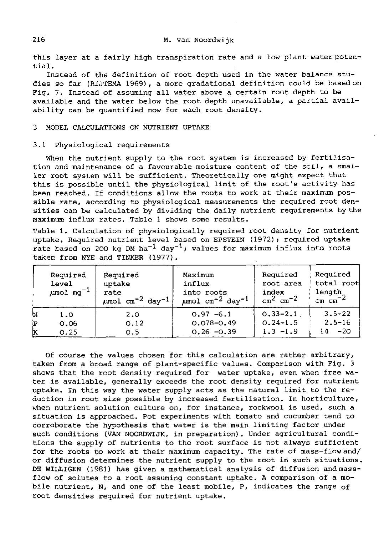this layer at a fairly high transpiration rate and a low plant water potential.

Instead of the definition of root depth used in the water balance studies so far (RIJTEMA 1969), a more gradational definition could be based on Fig. 7. Instead of assuming all water above a certain root depth to be available and the water below the root depth unavailable, a partial availability can be quantified now for each root density.

#### 3 MODEL CALCULATIONS ON NUTRIENT UPTAKE

#### 3.1 Physiological requirements

When the nutrient supply to the root system is increased by fertilisation and maintenance of a favourable moisture content of the soil, a smaller root system will be sufficient. Theoretically one might expect that this is possible until the physiological limit of the root's activity has been reached. If conditions allow the roots to work at their maximum possible rate, according to physiological measurements the required root densities can be calculated by dividing the daily nutrient requirements by the maximum influx rates. Table 1 shows some results.

Table 1. Calculation of physiologically required root density for nutrient uptake. Required nutrient level based on EPSTEIN (1972); required uptake rate based on 200 kg DM ha<sup>-1</sup> day<sup>-1</sup>; values for maximum influx into roots taken from NYE and TINKER (1977).

|   | Required<br>level<br>$\mu$ mol mg <sup>-1</sup> | Required<br>uptake<br>rate<br>$\mu$ mol cm <sup>-2</sup> day <sup>-1</sup> | Maximum<br>influx<br>into roots<br>$\mu$ mol cm <sup>-2</sup> day <sup>-1</sup> | Required<br>root area<br>index<br>$\text{cm}^2$ $\text{cm}^{-2}$ | Required<br>total root<br>length<br>$cm \ cm^{-2}$ |
|---|-------------------------------------------------|----------------------------------------------------------------------------|---------------------------------------------------------------------------------|------------------------------------------------------------------|----------------------------------------------------|
| И | 1.0                                             | 2,0                                                                        | $0.97 - 6.1$                                                                    | $0, 33 - 2, 1$                                                   | $3.5 - 22$                                         |
| Þ | 0.06                                            | 0.12                                                                       | $0.078 - 0.49$                                                                  | $0.24 - 1.5$                                                     | $2.5 - 16$                                         |
| ĸ | 0.25                                            | 0.5                                                                        | $0.26 - 0.39$                                                                   | $1.3 - 1.9$                                                      | $-20$<br>14                                        |

Of course the values chosen for this calculation are rather arbitrary, taken from a broad range of plant-specific values. Comparison with Fig. 3 shows that the root density required for water uptake, even when free water is available, generally exceeds the root density required for nutrient uptake. In this way the water supply acts as the natural limit to the reduction in root size possible by increased fertilisation. In horticulture, when nutrient solution culture on, for instance, rockwool is used, such a situation is approached. Pot experiments with tomato and cucumber tend to corroborate the hypothesis that water is the main limiting factor under such conditions (VAN NOORDWIJK, in preparation). Under agricultural conditions the supply of nutrients to the root surface is not always sufficient for the roots to work at their maximum capacity. The rate of mass-flow and/ or diffusion determines the nutrient supply to the root in such situations. DE WILLIGEN (1981) has given a mathematical analysis of diffusion and massflow of solutes to a root assuming constant uptake. A comparison of a mobile nutrient, N, and one of the least mobile, P, indicates the range of root densities required for nutrient uptake.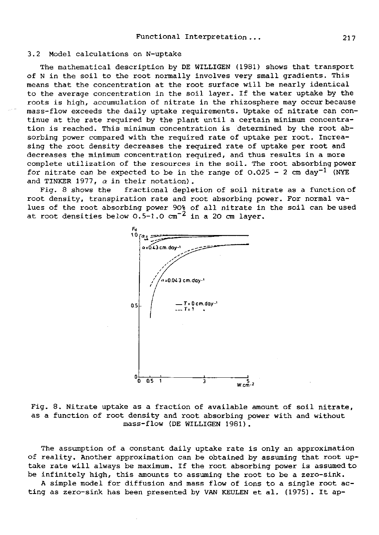#### 3.2 Model calculations on N-uptake

The mathematical description by DE WILLIGEN (1981) shows that transport of N in the soil to the root normally involves very small gradients. This means that the concentration at the root surface will be nearly identical to the average concentration in the soil layer. If the water uptake by the roots is high, accumulation of nitrate in the rhizosphere may occur because mass-flow exceeds the daily uptake requirements. Uptake of nitrate can continue at the rate required by the plant until a certain minimum concentration is reached. This minimum concentration is determined by the root absorbing power compared with the required rate of uptake per root. Increasing the root density decreases the required rate of uptake per root and decreases the minimum concentration required, and thus results in a more complete utilization of the resources in the soil. The root absorbing power for nitrate can be expected to be in the range of  $0.025 - 2$  cm  $day^{-1}$  (NYE and TINKER 1977,  $\alpha$  in their notation).

Fig. 8 shows the fractional depletion of soil nitrate as a function of root density, transpiration rate and root absorbing power. For normal values of the root absorbing power 90% of all nitrate in the soil can be used at root densities below  $0.5-1.0$  cm<sup>-2</sup> in a 20 cm layer.



Fig. 8. Nitrate uptake as a fraction of available amount of soil nitrate, as a function of root density and root absorbing power with and without mass-flow (DE WILLIGEN 1981).

The assumption of a constant daily uptake rate is only an approximation of reality. Another approximation can be obtained by assuming that root uptake rate will always be maximum. If the root absorbing power is assumed to be infinitely high, this amounts to assuming the root to be a zero-sink.

A simple model for diffusion and mass flow of ions to a single root acting as zero-sink has been presented by VAN KEULEN et al. (1975). It ap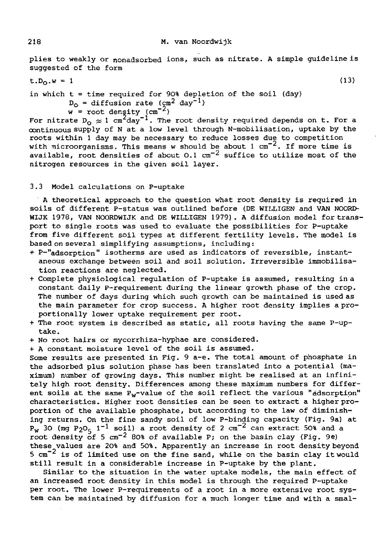plies to weakly or nonadsorbed ions, such as nitrate. A simple guideline is suggested of the form

 $t.D<sub>O</sub>.w = 1$  (13)

in which  $t =$  time required for 90% depletion of the soil (day)  $D_0$  = diffusion rate (cm<sup>2</sup> day<sup>-1</sup>)

 $w =$  root density (cm<sup>-2</sup>)

For nitrate  $D_0 \approx 1$  cm<sup>2</sup>day<sup>-1</sup>. The root density required depends on t. For a continuous supply of N at a low level through N-mobilisation, uptake by the roots within 1 day may be necessary to reduce losses due to competition with microorganisms. This means w should be about  $1 \text{ cm}^{-2}$ . If more time is available, root densities of about 0.1  $cm^{-2}$  suffice to utilize most of the nitrogen resources in the given soil layer.

#### 3.3 Model calculations on P-uptake

A theoretical approach to the question what root density is required in soils of different P-status was outlined before (DE WILLIGEN and VAN NOORD-WIJK 1978, VAN NOORDWIJK and DE WILLIGEN 1979). A diffusion model for transport to single roots was used to evaluate the possibilities for P-uptake from five different soil types at different fertility levels. The model is based on several simplifying assumptions, including:

- + P-"adsorption" isotherms are used as indicators of reversible, instantaneous exchange between soil and soil solution. Irreversible immobilisation reactions are neglected.
- + Complete physiological regulation of P-uptake is assumed, resulting in a constant daily P-requirement during the linear growth phase of the crop. The number of days during which such growth can be maintained is used as the main parameter for crop success. A higher root density implies a proportionally lower uptake requirement per root.
- + The root system is described as static, all roots having the same P-uptake.
- + No root hairs or mycorrhiza-hyphae are considered.

+ A constant moisture level of the soil is assumed.

Some results are presented in Fig. 9 a-e. The total amount of phosphate in the adsorbed plus solution phase has been translated into a potential (maximum) number of growing days. This number might be realised at an infinitely high root density. Differences among these maximum numbers for different soils at the same  $P_w$ -value of the soil reflect the various "adsorption" characteristics. Higher root densities can be seen to extract a higher proportion of the available phosphate, but according to the law of diminishing returns. On the fine sandy soil of low P-binding capacity (Fig. 9a) at  $P_w$  30 (mg  $P_2O_5$  1<sup>-1</sup> soil) a root density of 2 cm<sup>-2</sup> can extract 50% and a root density of 5  $cm^{-2}$  80% of available P; on the basin clay (Fig. 9e) these values are 20% and 50%. Apparently an increase in root density beyond 5  $cm^{-2}$  is of limited use on the fine sand, while on the basin clay it would still result in a considerable increase in P-uptake by the plant.

Similar to the situation in the water uptake models, the main effect of an increased root density in this model is through the required P-uptake per root. The lower P-requirements of a root in a more extensive root system can be maintained by diffusion for a much longer time and with a smal-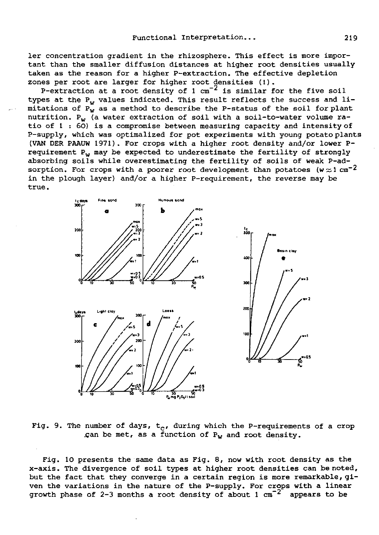1er concentration gradient in the rhizosphere. This effect is more important than the smaller diffusion distances at higher root densities usually taken as the reason for a higher P-extraction. The effective depletion zones per root are larger for higher root densities (!).

P-extraction at a root density of  $1 \text{ cm}^{-2}$  is similar for the five soil types at the  $P_w$  values indicated. This result reflects the success and limitations of  $P_w$  as a method to describe the P-status of the soil for plant nutrition.  $P_w$  (a water extraction of soil with a soil-to-water volume ratio of 1 : 60) is a compromise between measuring capacity and intensity of P-supply, which was optimalized for pot experiments with young potato plants (VAN DER PAAUW 1971). For crops with a higher root density and/or lower Prequirement  $P_w$  may be expected to underestimate the fertility of strongly absorbing soils while overestimating the fertility of soils of weak P-adsorption. For crops with a poorer root development than potatoes (w $\approx$ 1 cm<sup>-2</sup> in the plough layer) and/or a higher P-requirement, the reverse may be true.



Fig. 9. The number of days,  $t_c$ , during which the P-requirements of a crop .can be met, as a function of  $P_w$  and root density.

Fig. 10 presents the same data as Fig. 8, now with root density as the x-axis. The divergence of soil types at higher root densities can be noted, but the fact that they converge in a certain region is more remarkable, given the variations in the nature of the P-supply. For crops with a linear growth phase of 2-3 months a root density of about 1  $cm^{-2}$  appears to be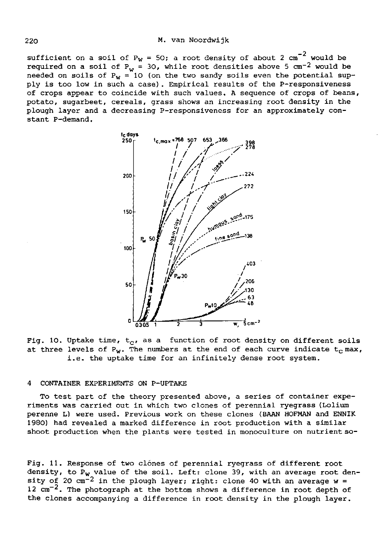sufficient on a soil of P<sub>W</sub> = 50; a root density of about 2 cm<sup>-2</sup> would be required on a soil of  $P_w = 30$ , while root densities above 5 cm<sup>-2</sup> would be needed on soils of  $P_W = 10$  (on the two sandy soils even the potential supply is too low in such a case). Empirical results of the P-responsiveness of crops appear to coincide with such values. A sequence of crops of beans, potato, sugarbeet, cereals, grass shows an increasing root density in the plough layer and a decreasing P-responsiveness for an approximately constant P-demand.



Fig. 10. Uptake time,  $t_c$ , as a function of root density on different soils at three levels of  $P_W$ . The numbers at the end of each curve indicate  $t_c$  max, i.e. the uptake time for an infinitely dense root system.

#### 4 CONTAINER EXPERIMENTS ON P-UPTAKE

To test part of the theory presented above, a series of container experiments was carried out in which two clones of perennial ryegrass (Lolium perenne L) were used. Previous work on these clones (BAAN HOFMAN and ENNIK 1980) had revealed a marked difference in root production with a similar shoot production when the plants were tested in monoculture on nutrient so-

Fig. 11. Response of two clones of perennial ryegrass of different root density, to  $P_w$  value of the soil. Left: clone 39, with an average root den- ${\tt sity}$  of 20 cm $^{-2}$  in the plough layer; right: clone 40 wit  $12$  cm $^{-2}$ . The photograph at the bottom shows a difference in the clones accompanying a difference in root density in the plough layer.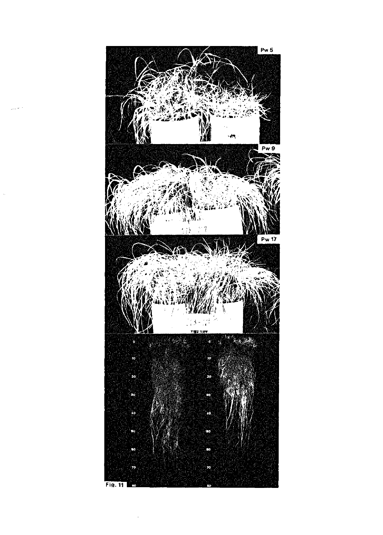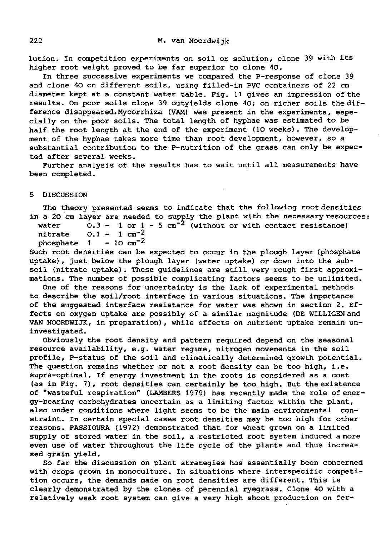lution. In competition experiments on soil or solution, clone 39 with its higher root weight proved to be far superior to clone 40.

In three successive experiments we compared the P-response of clone 39 and clone 40 on different soils, using filled-in PVC containers of 22 cm diameter kept at a constant water table. Fig. 11 gives an impression of the results. On poor soils clone 39 outyields clone 40; on richer soils the difference disappeared.Mycorrhiza (VAM) was present in the experiments, especially on the poor soils. The total length of hyphae was estimated to be half the root length at the end of the experiment (10 weeks). The development of the hyphae takes more time than root development, however, so a substantial contribution to the P-nutrition of the grass can only be expected after several weeks.

Further analysis of the results has to wait until all measurements have been completed.

5 DISCUSSION

The theory presented seems to indicate that the following root densities in a 20 cm layer are needed to supply the plant with the necessary resources:

water  $0.3 - 1$  or  $1 - 5$  cm<sup>-2</sup> (without or with conta

nitrate  $0.1 - 1 \text{ cm}^{-2}$ <br>phosphate  $1 - 10 \text{ cm}^{-2}$ phosphate 1

Such root densities can be expected to occur in the plough layer (phosphate uptake), just below the plough layer (water uptake) or down into the subsoil (nitrate uptake). These guidelines are still very rough first approximations. The number of possible complicating factors seems to be unlimited.

One of the reasons for uncertainty is the lack of experimental methods to describe the soil/root interface in various situations. The importance of the suggested interface resistance for water was shown in section 2. Effects on oxygen uptake are possibly of a similar magnitude (DE WILLIGEN and VAN NOORDWIJK, in preparation), while effects on nutrient uptake remain uninvestigated.

Obviously the root density and pattern required depend on the seasonal resource availability, e.g. water regime, nitrogen movements in the soil profile, P-status of the soil and climatically determined growth potential. The question remains whether or not a root density can be too high, i.e. supra-optimal. If energy investment in the roots is considered as a cost (as in Fig. 7), root densities can certainly be too high. But the existence of "wasteful respiration" (LAMBERS 1979) has recently made the role of energy-bearing carbohydrates uncertain as a limiting factor within the plant, also under conditions where light seems to be the main environmental constraint. In certain special cases root densities may be too high for other reasons. PASSIOURA (1972) demonstrated that for wheat grown on a limited supply of stored water in the soil, a restricted root system induced a more even use of water throughout the life cycle of the plants and thus increased grain yield.

So far the discussion on plant strategies has essentially been concerned with crops grown in monoculture. In situations where interspecific competition occurs, the demands made on root densities are different. This is clearly demonstrated by the clones of perennial ryegrass. Clone 40 with a relatively weak root system can give a very high shoot production on fer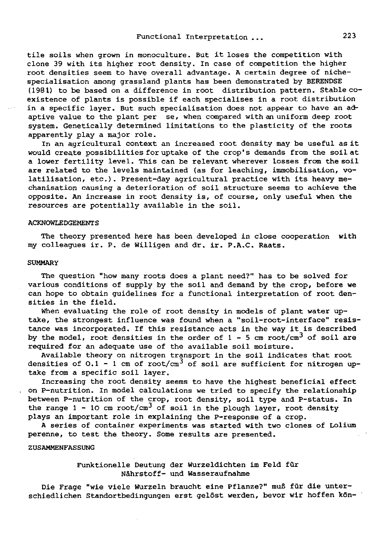tile soils when grown in monoculture. But it loses the competition with clone 39 with its higher root density. In case of competition the higher root densities seem to have overall advantage. A certain degree of nichespecialisation among grassland plants has been demonstrated by BERENDSE (1981) to be based on a difference in root distribution pattern. Stable coexistence of plants is possible if each specialises in a root distribution in a specific layer. But such specialisation does not appear to have an adaptive value to the plant per se, when compared with an uniform deep root system. Genetically determined limitations to the plasticity of the roots apparently play a major role.

In an agricultural context an increased root density may be useful as it would create possibilities for uptake of the crop's demands from the soil at a lower fertility level. This can be relevant wherever losses from the soil are related to the levels maintained (as for leaching, immobilisation, volatilisation, etc.). Present-day agricultural practice with its heavy mechanisation causing a deterioration of soil structure seems to achieve the opposite. An increase in root density is, of course, only useful when the resources are potentially available in the soil.

#### ACKNOWLEDGEMENTS

The theory presented here has been developed in close cooperation with my colleagues ir. P. de Willigen and dr. ir. P.A.C. Raats.

#### **SUMMARY**

The question "how many roots does a plant need?" has to be solved for various conditions of supply by the soil and demand by the crop, before we can hope to obtain guidelines for a functional interpretation of root densities in the field.

When evaluating the role of root density in models of plant water uptake, the strongest influence was found when a "soil-root-interface" resistance was incorporated. If this resistance acts in the way it is described by the model, root densities in the order of  $1$  - 5 cm root required for an adequate use of the available soil moisture.

Available theory on nitrogen transport in the soil indicates that root densities of 0.1 - 1 cm of root/cm $^3$  of soil are sufficient f take from a specific soil layer.

Increasing the root density seems to have the highest beneficial effect on P-nutrition. In model calculations we tried to specify the relationship between P-nutrition of the crop, root density, soil type and P-status. In the range  $1 - 10$  cm root/cm<sup>3</sup> of soil in the plough laye plays an important role in explaining the P-response of a crop.

A series of container experiments was started with two clones of Lolium perenne, to test the theory. Some results are presented.

#### ZUSAMMENFASSUNG

### Funktionelle Deutung der Wurzeldichten im Feld für Nährstoff- und Wasseraufnahme

Die Frage "wie viele Wurzeln braucht eine Pflanze?" muß für die unterschiedlichen Standortbedingungen erst gelöst werden, bevor wir hoffen kön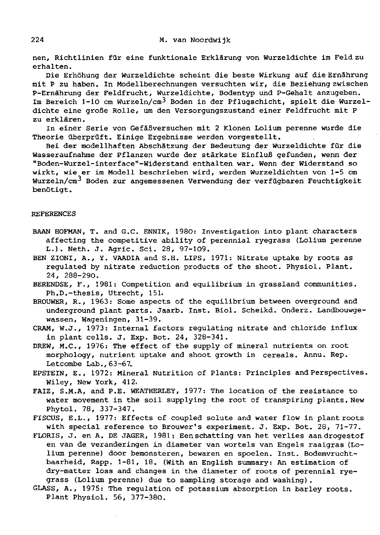nen, Richtlinien für eine funktionale Erklärung von Wurzeldichte im Feld zu erhalten.

Die Erhöhung der Wurzeldichte scheint die beste Wirkung auf die Ernährung mit P zu haben. In Modellberechnungen versuchten wir, die Beziehung zwischen P-Ernährung der Feldfrucht, Wurzeldichte, Bodentyp und P-Gehalt anzugeben. Im Bereich 1-10 cm Wurzeln/cm<sup>3</sup> Boden in der Pflugschicht, spielt die Wurzeldichte eine große Rolle, um den Versorgungszustand einer Feldfrucht mit P zu erklären.

In einer Serie von Gefäßversuchen mit 2 Klonen Lolium perenne wurde die Theorie überprüft. Einige Ergebnisse werden vorgestellt.

Bei der modellhaften Abschätzung der Bedeutung der Wurzeldichte für die Wasseraufnahme der Pflanzen wurde der stärkste Einfluß gefunden, wenn der "Boden-Wurzel-interface"-Widerstand enthalten war. Wenn der Widerstand so wirkt, wie er im Modell beschrieben wird, werden Wurzeldichten von 1-5 cm Wurzeln/cm<sup>3</sup> Boden zur angemessenen Verwendung der verfügbaren Feuch benötigt.

#### REFERENCES

- BAAN HOFMAN, T. and G.C. ENNIK, 1980: Investigation into plant characters affecting the competitive ability of perennial ryegrass (Lolium perenne L.). Neth. J. Agric. Sei. 28, 97-109.
- BEN ZIONI, A., Y. VAADIA and S.H. LIPS, 1971: Nitrate uptake by roots as regulated by nitrate reduction products of the shoot. Physiol. Plant. 24, 288-290.
- BERENDSE, F., 1981: Competition and equilibrium in grassland communities. Ph.D.-thesis, Utrecht, 151.
- BROUWER, R., 1963: Some aspects of the equilibrium between overground and underground plant parts. Jaarb. Inst. Biol. Scheikd. Onderz. Landbouwgewassen, Wageningen, 31-39.
- CRAM, W.J., 1973: Internal factors regulating nitrate and chloride influx in plant cells. J. Exp. Bot. 24, 328-341.
- DREW, M.C., 1976: The effect of the supply of mineral nutrients on root morphology, nutrient uptake and shoot growth in cereals. Annu. Rep. Letcombe Lab., 63-67.
- EPSTEIN, E., 1972: Mineral Nutrition of Plants: Principles and Perspectives. Wiley, New York, 412.
- FAIZ, S.M.A, and P.E. WEATHERLEY, 1977: The location of the resistance to water movement in the soil supplying the root of transpiring plants. New Phytol. 78, 337-347.
- FISCUS, E.L., 1977: Effects of coupled solute and water flow in plant roots with special reference to Brouwer's experiment. J. Exp. Bot. 28, 71-77.
- FLORIS, J. en A. DE JAGER, 1981: Een schatting van het verlies aan drogestof en van de veranderingen in diameter van wortels van Engels raaigras (Lolium perenne) door bemonsteren, bewaren en spoelen. Inst. Bodemvruchtbaarheid, Rapp. 1-81, 18. (With an English summary: An estimation of dry-matter loss and changes in the diameter of roots of perennial ryegrass (Lolium perenne) due to sampling storage and washing).
- GLASS, A., 1975: The regulation of potassium absorption in barley roots. Plant Physiol. 56, 377-380.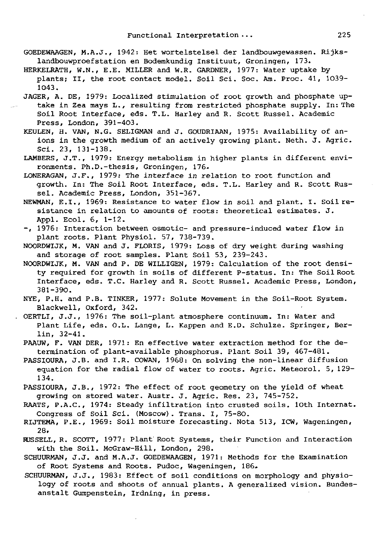- GOEDEWAAGEN, M.A.J., 1942: Het wortelstelsel der landbouwgewassen. Rijkslandbouwproefstation en Bodemkundig Instituut, Groningen, 173.
- HERKELRATH, W.N., E.E. MILLER and W.R. GARDNER, 1977: Water uptake by plants; II, the root contact model. Soil Sei. Soc. Am. Proc. 41, 1039- 1043.
- JAGER, A. DE, 1979: Localized stimulation of root growth and phosphate uptake in Zea mays L., resulting from restricted phosphate supply. In: The Soil Root Interface, eds. T.L. Harley and R. Scott Rüssel. Academic Press, London, 391-403.
- KEULEN, H. VAN, N.G. SELIGMAN and J. GOUDRIAAN, 1975: Availability of anions in the growth medium of an actively growing plant. Neth. J. Agric. Sei. 23, 131-138.
- LAMBERS, J.T., 1979: Energy metabolism in higher plants in different environments. Ph.D.-thesis, Groningen, 176.
- LONERAGAN, J.F., 1979: The interface in relation to root function and growth. In: The Soil Root Interface, eds. T.L. Harley and R. Scott Rüssel. Academic Press, London, 351-367.
- NEWMAN, E.I., 1969: Resistance to water flow in soil and plant. I. Soil resistance in relation to amounts of roots: theoretical estimates. J. Appl. Ecol. 6, 1-12.
- -, 1976: Interaction between osmotic- and pressure-induced water flow in plant roots. Plant Physiol. 57, 738-739.
- NOORDWIJK, M. VAN and J. FLORIS, 1979: Loss of dry weight during washing and storage of root samples. Plant Soil 53, 239-243.
- NOORDWIJK, M. VAN and P. DE WILLIGEN, 1979: Calculation of the root density required for growth in soils of different P-status. In: The Soil Root Interface, eds. T.C. Harley and R. Scott Rüssel. Academic Press, London, 381-390.
- NYE, P.H. and P.B. TINKER, 1977: Solute Movement in the Soil-Root System. Blackwell, Oxford, 342.
- OERTLI, J.J., 1976: The soil-plant atmosphere continuum. In: Water and Plant Life, eds. O.L. Lange, L. Kappen and E.D. Schulze. Springer, Berlin, 32-41.
- PAAUW, F. VAN DER, 1971: En effective water extraction method for the determination of plant-available phosphorus. Plant Soil 39, 467-481.
- PASSIOURA, J.B. and I.R. COWAN, 1968: On solving the non-linear diffusion equation for the radial flow of water to roots. Agric. Meteorol. 5, 129- 134.
- PASSIOURA, J.B., 1972: The effect of root geometry on the yield of wheat growing on stored water. Austr. J. Agric. Res. 23, 745-752.
- RAATS, P.A.C., 1974: Steady infiltration into crusted soils. 10th Internat. Congress of Soil Sei. (Moscow). Trans. I, 75-80.
- RIJTEMA, P.E., 1969: Soil moisture forecasting. Nota 513, ICW, Wageningen, 28.
- FUSSELL, R. SCOTT, 1977: Plant Root Systems, their Function and Interaction with the Soil. McGraw-Hill, London, 298.
- SCHUURMAN, J.J. and M.A.J. GOEDEWAAGEN, 1971: Methods for the Examination of Root Systems and Roots. Pudoc, Wageningen, 186.
- SCHUURMAN, J.J., 1983: Effect of soil conditions on morphology and physiology of roots and shoots of annual plants. A generalized vision. Bundesanstalt Gumpenstein, Irdning, in press.